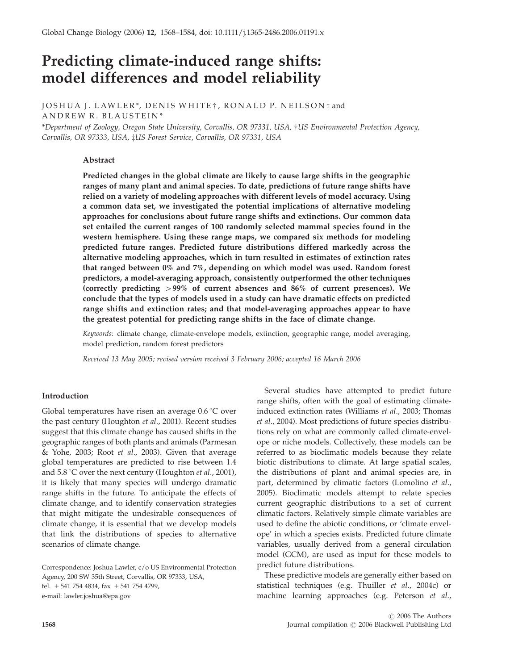# Predicting climate-induced range shifts: model differences and model reliability

JOSHUA J. LAWLER\*, DENIS WHITE†, RONALD P. NEILSON‡ and ANDREW R. BLAUSTEIN \*

\*Department of Zoology, Oregon State University, Corvallis, OR 97331, USA, †US Environmental Protection Agency, Corvallis, OR 97333, USA, ‡US Forest Service, Corvallis, OR 97331, USA

# Abstract

Predicted changes in the global climate are likely to cause large shifts in the geographic ranges of many plant and animal species. To date, predictions of future range shifts have relied on a variety of modeling approaches with different levels of model accuracy. Using a common data set, we investigated the potential implications of alternative modeling approaches for conclusions about future range shifts and extinctions. Our common data set entailed the current ranges of 100 randomly selected mammal species found in the western hemisphere. Using these range maps, we compared six methods for modeling predicted future ranges. Predicted future distributions differed markedly across the alternative modeling approaches, which in turn resulted in estimates of extinction rates that ranged between 0% and 7%, depending on which model was used. Random forest predictors, a model-averaging approach, consistently outperformed the other techniques (correctly predicting  $>99\%$  of current absences and 86% of current presences). We conclude that the types of models used in a study can have dramatic effects on predicted range shifts and extinction rates; and that model-averaging approaches appear to have the greatest potential for predicting range shifts in the face of climate change.

Keywords: climate change, climate-envelope models, extinction, geographic range, model averaging, model prediction, random forest predictors

Received 13 May 2005; revised version received 3 February 2006; accepted 16 March 2006

# Introduction

Global temperatures have risen an average  $0.6 \degree C$  over the past century (Houghton et al., 2001). Recent studies suggest that this climate change has caused shifts in the geographic ranges of both plants and animals (Parmesan & Yohe, 2003; Root et al., 2003). Given that average global temperatures are predicted to rise between 1.4 and  $5.8\textdegree$ C over the next century (Houghton *et al.*, 2001), it is likely that many species will undergo dramatic range shifts in the future. To anticipate the effects of climate change, and to identify conservation strategies that might mitigate the undesirable consequences of climate change, it is essential that we develop models that link the distributions of species to alternative scenarios of climate change.

Correspondence: Joshua Lawler, c/o US Environmental Protection Agency, 200 SW 35th Street, Corvallis, OR 97333, USA, tel.  $+ 541 754 4834$ , fax  $+ 541 754 4799$ , e-mail: lawler.joshua@epa.gov

Several studies have attempted to predict future range shifts, often with the goal of estimating climateinduced extinction rates (Williams et al., 2003; Thomas et al., 2004). Most predictions of future species distributions rely on what are commonly called climate-envelope or niche models. Collectively, these models can be referred to as bioclimatic models because they relate biotic distributions to climate. At large spatial scales, the distributions of plant and animal species are, in part, determined by climatic factors (Lomolino et al., 2005). Bioclimatic models attempt to relate species current geographic distributions to a set of current climatic factors. Relatively simple climate variables are used to define the abiotic conditions, or 'climate envelope' in which a species exists. Predicted future climate variables, usually derived from a general circulation model (GCM), are used as input for these models to predict future distributions.

These predictive models are generally either based on statistical techniques (e.g. Thuiller et al., 2004c) or machine learning approaches (e.g. Peterson et al.,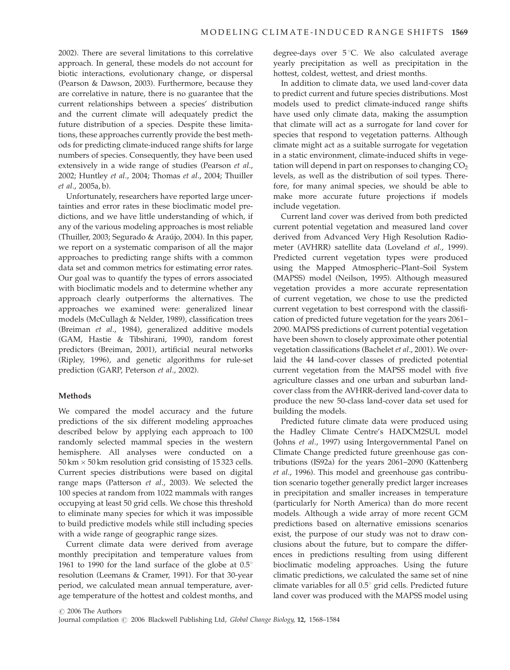2002). There are several limitations to this correlative approach. In general, these models do not account for biotic interactions, evolutionary change, or dispersal (Pearson & Dawson, 2003). Furthermore, because they are correlative in nature, there is no guarantee that the current relationships between a species' distribution and the current climate will adequately predict the future distribution of a species. Despite these limitations, these approaches currently provide the best methods for predicting climate-induced range shifts for large numbers of species. Consequently, they have been used extensively in a wide range of studies (Pearson et al., 2002; Huntley et al., 2004; Thomas et al., 2004; Thuiller et al., 2005a, b).

Unfortunately, researchers have reported large uncertainties and error rates in these bioclimatic model predictions, and we have little understanding of which, if any of the various modeling approaches is most reliable (Thuiller, 2003; Segurado & Arau´jo, 2004). In this paper, we report on a systematic comparison of all the major approaches to predicting range shifts with a common data set and common metrics for estimating error rates. Our goal was to quantify the types of errors associated with bioclimatic models and to determine whether any approach clearly outperforms the alternatives. The approaches we examined were: generalized linear models (McCullagh & Nelder, 1989), classification trees (Breiman et al., 1984), generalized additive models (GAM, Hastie & Tibshirani, 1990), random forest predictors (Breiman, 2001), artificial neural networks (Ripley, 1996), and genetic algorithms for rule-set prediction (GARP, Peterson et al., 2002).

#### Methods

We compared the model accuracy and the future predictions of the six different modeling approaches described below by applying each approach to 100 randomly selected mammal species in the western hemisphere. All analyses were conducted on a  $50 \text{ km} \times 50 \text{ km}$  resolution grid consisting of 15323 cells. Current species distributions were based on digital range maps (Patterson et al., 2003). We selected the 100 species at random from 1022 mammals with ranges occupying at least 50 grid cells. We chose this threshold to eliminate many species for which it was impossible to build predictive models while still including species with a wide range of geographic range sizes.

Current climate data were derived from average monthly precipitation and temperature values from 1961 to 1990 for the land surface of the globe at  $0.5^{\circ}$ resolution (Leemans & Cramer, 1991). For that 30-year period, we calculated mean annual temperature, average temperature of the hottest and coldest months, and degree-days over  $5^{\circ}$ C. We also calculated average yearly precipitation as well as precipitation in the hottest, coldest, wettest, and driest months.

In addition to climate data, we used land-cover data to predict current and future species distributions. Most models used to predict climate-induced range shifts have used only climate data, making the assumption that climate will act as a surrogate for land cover for species that respond to vegetation patterns. Although climate might act as a suitable surrogate for vegetation in a static environment, climate-induced shifts in vegetation will depend in part on responses to changing  $CO<sub>2</sub>$ levels, as well as the distribution of soil types. Therefore, for many animal species, we should be able to make more accurate future projections if models include vegetation.

Current land cover was derived from both predicted current potential vegetation and measured land cover derived from Advanced Very High Resolution Radiometer (AVHRR) satellite data (Loveland et al., 1999). Predicted current vegetation types were produced using the Mapped Atmospheric–Plant–Soil System (MAPSS) model (Neilson, 1995). Although measured vegetation provides a more accurate representation of current vegetation, we chose to use the predicted current vegetation to best correspond with the classification of predicted future vegetation for the years 2061– 2090. MAPSS predictions of current potential vegetation have been shown to closely approximate other potential vegetation classifications (Bachelet et al., 2001). We overlaid the 44 land-cover classes of predicted potential current vegetation from the MAPSS model with five agriculture classes and one urban and suburban landcover class from the AVHRR-derived land-cover data to produce the new 50-class land-cover data set used for building the models.

Predicted future climate data were produced using the Hadley Climate Centre's HADCM2SUL model (Johns et al., 1997) using Intergovernmental Panel on Climate Change predicted future greenhouse gas contributions (IS92a) for the years 2061–2090 (Kattenberg et al., 1996). This model and greenhouse gas contribution scenario together generally predict larger increases in precipitation and smaller increases in temperature (particularly for North America) than do more recent models. Although a wide array of more recent GCM predictions based on alternative emissions scenarios exist, the purpose of our study was not to draw conclusions about the future, but to compare the differences in predictions resulting from using different bioclimatic modeling approaches. Using the future climatic predictions, we calculated the same set of nine climate variables for all  $0.5^\circ$  grid cells. Predicted future land cover was produced with the MAPSS model using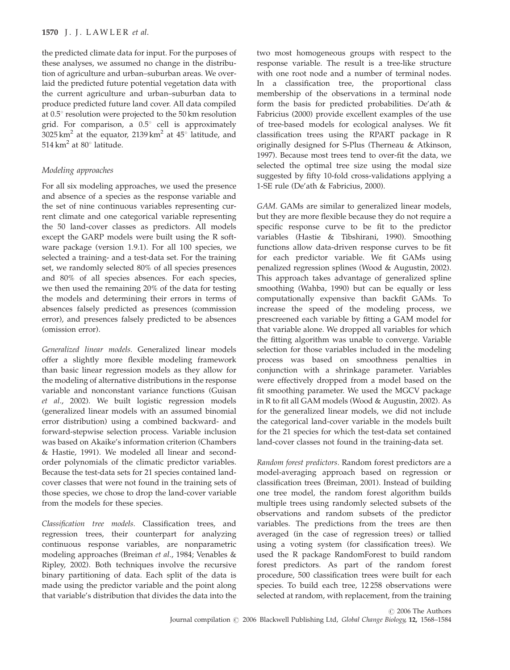the predicted climate data for input. For the purposes of these analyses, we assumed no change in the distribution of agriculture and urban–suburban areas. We overlaid the predicted future potential vegetation data with the current agriculture and urban–suburban data to produce predicted future land cover. All data compiled at  $0.5^\circ$  resolution were projected to the 50 km resolution grid. For comparison, a  $0.5^{\circ}$  cell is approximately  $3025 \text{ km}^2$  at the equator,  $2139 \text{ km}^2$  at  $45^\circ$  latitude, and  $514 \text{ km}^2$  at  $80^\circ$  latitude.

# Modeling approaches

For all six modeling approaches, we used the presence and absence of a species as the response variable and the set of nine continuous variables representing current climate and one categorical variable representing the 50 land-cover classes as predictors. All models except the GARP models were built using the R software package (version 1.9.1). For all 100 species, we selected a training- and a test-data set. For the training set, we randomly selected 80% of all species presences and 80% of all species absences. For each species, we then used the remaining 20% of the data for testing the models and determining their errors in terms of absences falsely predicted as presences (commission error), and presences falsely predicted to be absences (omission error).

Generalized linear models. Generalized linear models offer a slightly more flexible modeling framework than basic linear regression models as they allow for the modeling of alternative distributions in the response variable and nonconstant variance functions (Guisan et al., 2002). We built logistic regression models (generalized linear models with an assumed binomial error distribution) using a combined backward- and forward-stepwise selection process. Variable inclusion was based on Akaike's information criterion (Chambers & Hastie, 1991). We modeled all linear and secondorder polynomials of the climatic predictor variables. Because the test-data sets for 21 species contained landcover classes that were not found in the training sets of those species, we chose to drop the land-cover variable from the models for these species.

Classification tree models. Classification trees, and regression trees, their counterpart for analyzing continuous response variables, are nonparametric modeling approaches (Breiman et al., 1984; Venables & Ripley, 2002). Both techniques involve the recursive binary partitioning of data. Each split of the data is made using the predictor variable and the point along that variable's distribution that divides the data into the two most homogeneous groups with respect to the response variable. The result is a tree-like structure with one root node and a number of terminal nodes. In a classification tree, the proportional class membership of the observations in a terminal node form the basis for predicted probabilities. De'ath & Fabricius (2000) provide excellent examples of the use of tree-based models for ecological analyses. We fit classification trees using the RPART package in R originally designed for S-Plus (Therneau & Atkinson, 1997). Because most trees tend to over-fit the data, we selected the optimal tree size using the modal size suggested by fifty 10-fold cross-validations applying a 1-SE rule (De'ath & Fabricius, 2000).

GAM. GAMs are similar to generalized linear models, but they are more flexible because they do not require a specific response curve to be fit to the predictor variables (Hastie & Tibshirani, 1990). Smoothing functions allow data-driven response curves to be fit for each predictor variable. We fit GAMs using penalized regression splines (Wood & Augustin, 2002). This approach takes advantage of generalized spline smoothing (Wahba, 1990) but can be equally or less computationally expensive than backfit GAMs. To increase the speed of the modeling process, we prescreened each variable by fitting a GAM model for that variable alone. We dropped all variables for which the fitting algorithm was unable to converge. Variable selection for those variables included in the modeling process was based on smoothness penalties in conjunction with a shrinkage parameter. Variables were effectively dropped from a model based on the fit smoothing parameter. We used the MGCV package in R to fit all GAM models (Wood & Augustin, 2002). As for the generalized linear models, we did not include the categorical land-cover variable in the models built for the 21 species for which the test-data set contained land-cover classes not found in the training-data set.

Random forest predictors. Random forest predictors are a model-averaging approach based on regression or classification trees (Breiman, 2001). Instead of building one tree model, the random forest algorithm builds multiple trees using randomly selected subsets of the observations and random subsets of the predictor variables. The predictions from the trees are then averaged (in the case of regression trees) or tallied using a voting system (for classification trees). We used the R package RandomForest to build random forest predictors. As part of the random forest procedure, 500 classification trees were built for each species. To build each tree, 12 258 observations were selected at random, with replacement, from the training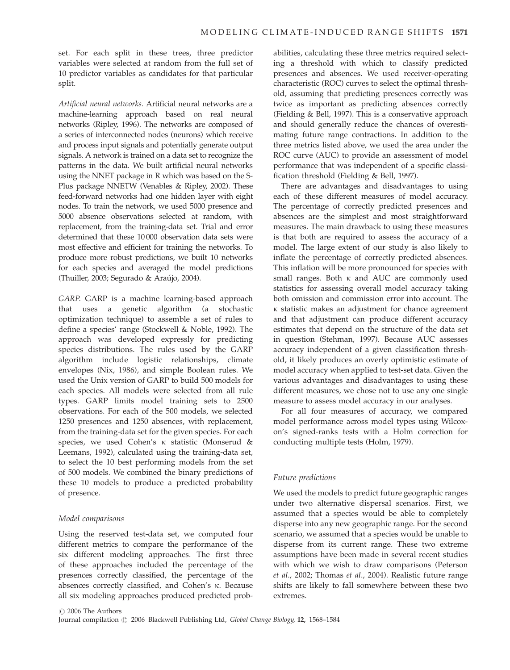set. For each split in these trees, three predictor variables were selected at random from the full set of 10 predictor variables as candidates for that particular split.

Artificial neural networks. Artificial neural networks are a machine-learning approach based on real neural networks (Ripley, 1996). The networks are composed of a series of interconnected nodes (neurons) which receive and process input signals and potentially generate output signals. A network is trained on a data set to recognize the patterns in the data. We built artificial neural networks using the NNET package in R which was based on the S-Plus package NNETW (Venables & Ripley, 2002). These feed-forward networks had one hidden layer with eight nodes. To train the network, we used 5000 presence and 5000 absence observations selected at random, with replacement, from the training-data set. Trial and error determined that these 10 000 observation data sets were most effective and efficient for training the networks. To produce more robust predictions, we built 10 networks for each species and averaged the model predictions (Thuiller, 2003; Segurado & Araújo, 2004).

GARP. GARP is a machine learning-based approach that uses a genetic algorithm (a stochastic optimization technique) to assemble a set of rules to define a species' range (Stockwell & Noble, 1992). The approach was developed expressly for predicting species distributions. The rules used by the GARP algorithm include logistic relationships, climate envelopes (Nix, 1986), and simple Boolean rules. We used the Unix version of GARP to build 500 models for each species. All models were selected from all rule types. GARP limits model training sets to 2500 observations. For each of the 500 models, we selected 1250 presences and 1250 absences, with replacement, from the training-data set for the given species. For each species, we used Cohen's  $\kappa$  statistic (Monserud & Leemans, 1992), calculated using the training-data set, to select the 10 best performing models from the set of 500 models. We combined the binary predictions of these 10 models to produce a predicted probability of presence.

# Model comparisons

Using the reserved test-data set, we computed four different metrics to compare the performance of the six different modeling approaches. The first three of these approaches included the percentage of the presences correctly classified, the percentage of the absences correctly classified, and Cohen's k. Because all six modeling approaches produced predicted probabilities, calculating these three metrics required selecting a threshold with which to classify predicted presences and absences. We used receiver-operating characteristic (ROC) curves to select the optimal threshold, assuming that predicting presences correctly was twice as important as predicting absences correctly (Fielding & Bell, 1997). This is a conservative approach and should generally reduce the chances of overestimating future range contractions. In addition to the three metrics listed above, we used the area under the ROC curve (AUC) to provide an assessment of model performance that was independent of a specific classification threshold (Fielding & Bell, 1997).

There are advantages and disadvantages to using each of these different measures of model accuracy. The percentage of correctly predicted presences and absences are the simplest and most straightforward measures. The main drawback to using these measures is that both are required to assess the accuracy of a model. The large extent of our study is also likely to inflate the percentage of correctly predicted absences. This inflation will be more pronounced for species with small ranges. Both  $\kappa$  and AUC are commonly used statistics for assessing overall model accuracy taking both omission and commission error into account. The k statistic makes an adjustment for chance agreement and that adjustment can produce different accuracy estimates that depend on the structure of the data set in question (Stehman, 1997). Because AUC assesses accuracy independent of a given classification threshold, it likely produces an overly optimistic estimate of model accuracy when applied to test-set data. Given the various advantages and disadvantages to using these different measures, we chose not to use any one single measure to assess model accuracy in our analyses.

For all four measures of accuracy, we compared model performance across model types using Wilcoxon's signed-ranks tests with a Holm correction for conducting multiple tests (Holm, 1979).

# Future predictions

We used the models to predict future geographic ranges under two alternative dispersal scenarios. First, we assumed that a species would be able to completely disperse into any new geographic range. For the second scenario, we assumed that a species would be unable to disperse from its current range. These two extreme assumptions have been made in several recent studies with which we wish to draw comparisons (Peterson et al., 2002; Thomas et al., 2004). Realistic future range shifts are likely to fall somewhere between these two extremes.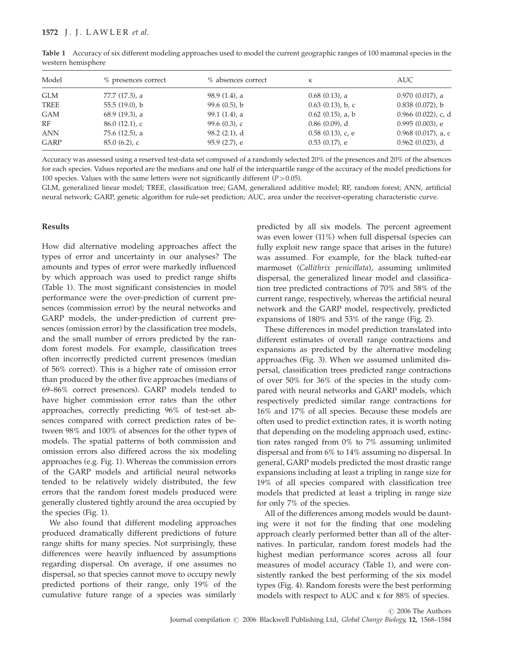| Model       | % presences correct | % absences correct | к                      | AUC                      |
|-------------|---------------------|--------------------|------------------------|--------------------------|
| <b>GLM</b>  | 77.7 (17.3), a      | $98.9(1.4)$ , a    | $0.68(0.13)$ , a       | $0.970(0.017)$ , a       |
| TREE        | $55.5(19.0)$ , b    | $99.6(0.5)$ , b    | $0.63$ $(0.13)$ , b, c | $0.838(0.072)$ , b       |
| <b>GAM</b>  | $68.9(19.3)$ , a    | 99.1 $(1.4)$ , a   | $0.62$ $(0.15)$ , a, b | $0.966$ $(0.022)$ , c, d |
| RF          | $86.0(12.1)$ , c    | 99.6 $(0.3)$ , c   | $0.86(0.09)$ , d       | $0.995(0.003)$ , e       |
| <b>ANN</b>  | $75.6$ (12.5), a    | $98.2(2.1)$ , d    | $0.58(0.13)$ , c, e    | $0.968$ $(0.017)$ , a, c |
| <b>GARP</b> | $85.0(6.2)$ , c     | $95.9(2.7)$ , e    | $0.53(0.17)$ , e       | $0.962$ $(0.023)$ , d    |

Table 1 Accuracy of six different modeling approaches used to model the current geographic ranges of 100 mammal species in the western hemisphere

Accuracy was assessed using a reserved test-data set composed of a randomly selected 20% of the presences and 20% of the absences for each species. Values reported are the medians and one half of the interquartile range of the accuracy of the model predictions for 100 species. Values with the same letters were not significantly different ( $P > 0.05$ ).

GLM, generalized linear model; TREE, classification tree; GAM, generalized additive model; RF, random forest; ANN, artificial neural network; GARP, genetic algorithm for rule-set prediction; AUC, area under the receiver-operating characteristic curve.

#### Results

How did alternative modeling approaches affect the types of error and uncertainty in our analyses? The amounts and types of error were markedly influenced by which approach was used to predict range shifts (Table 1). The most significant consistencies in model performance were the over-prediction of current presences (commission error) by the neural networks and GARP models, the under-prediction of current presences (omission error) by the classification tree models, and the small number of errors predicted by the random forest models. For example, classification trees often incorrectly predicted current presences (median of 56% correct). This is a higher rate of omission error than produced by the other five approaches (medians of 69–86% correct presences). GARP models tended to have higher commission error rates than the other approaches, correctly predicting 96% of test-set absences compared with correct prediction rates of between 98% and 100% of absences for the other types of models. The spatial patterns of both commission and omission errors also differed across the six modeling approaches (e.g. Fig. 1). Whereas the commission errors of the GARP models and artificial neural networks tended to be relatively widely distributed, the few errors that the random forest models produced were generally clustered tightly around the area occupied by the species (Fig. 1).

We also found that different modeling approaches produced dramatically different predictions of future range shifts for many species. Not surprisingly, these differences were heavily influenced by assumptions regarding dispersal. On average, if one assumes no dispersal, so that species cannot move to occupy newly predicted portions of their range, only 19% of the cumulative future range of a species was similarly

predicted by all six models. The percent agreement was even lower (11%) when full dispersal (species can fully exploit new range space that arises in the future) was assumed. For example, for the black tufted-ear marmoset (Callithrix penicillata), assuming unlimited dispersal, the generalized linear model and classification tree predicted contractions of 70% and 58% of the current range, respectively, whereas the artificial neural network and the GARP model, respectively, predicted expansions of 180% and 53% of the range (Fig. 2).

These differences in model prediction translated into different estimates of overall range contractions and expansions as predicted by the alternative modeling approaches (Fig. 3). When we assumed unlimited dispersal, classification trees predicted range contractions of over 50% for 36% of the species in the study compared with neural networks and GARP models, which respectively predicted similar range contractions for 16% and 17% of all species. Because these models are often used to predict extinction rates, it is worth noting that depending on the modeling approach used, extinction rates ranged from 0% to 7% assuming unlimited dispersal and from 6% to 14% assuming no dispersal. In general, GARP models predicted the most drastic range expansions including at least a tripling in range size for 19% of all species compared with classification tree models that predicted at least a tripling in range size for only 7% of the species.

All of the differences among models would be daunting were it not for the finding that one modeling approach clearly performed better than all of the alternatives. In particular, random forest models had the highest median performance scores across all four measures of model accuracy (Table 1), and were consistently ranked the best performing of the six model types (Fig. 4). Random forests were the best performing models with respect to AUC and k for 88% of species.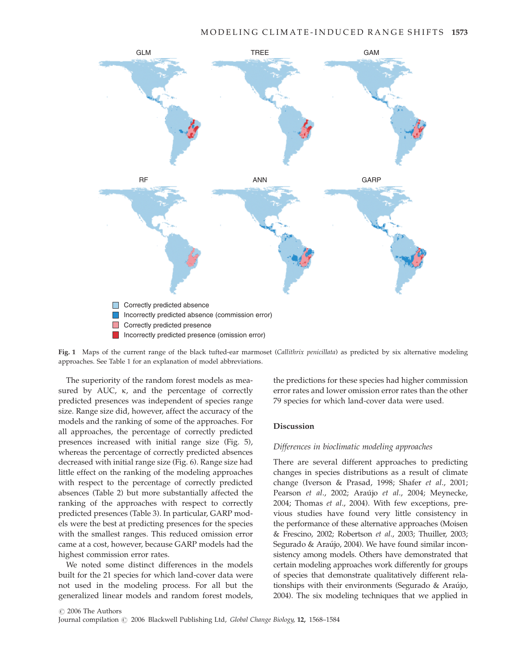

Fig. 1 Maps of the current range of the black tufted-ear marmoset (Callithrix penicillata) as predicted by six alternative modeling approaches. See Table 1 for an explanation of model abbreviations.

The superiority of the random forest models as measured by AUC,  $\kappa$ , and the percentage of correctly predicted presences was independent of species range size. Range size did, however, affect the accuracy of the models and the ranking of some of the approaches. For all approaches, the percentage of correctly predicted presences increased with initial range size (Fig. 5), whereas the percentage of correctly predicted absences decreased with initial range size (Fig. 6). Range size had little effect on the ranking of the modeling approaches with respect to the percentage of correctly predicted absences (Table 2) but more substantially affected the ranking of the approaches with respect to correctly predicted presences (Table 3). In particular, GARP models were the best at predicting presences for the species with the smallest ranges. This reduced omission error came at a cost, however, because GARP models had the highest commission error rates.

We noted some distinct differences in the models built for the 21 species for which land-cover data were not used in the modeling process. For all but the generalized linear models and random forest models,

the predictions for these species had higher commission error rates and lower omission error rates than the other 79 species for which land-cover data were used.

#### Discussion

#### Differences in bioclimatic modeling approaches

There are several different approaches to predicting changes in species distributions as a result of climate change (Iverson & Prasad, 1998; Shafer et al., 2001; Pearson et al., 2002; Araújo et al., 2004; Meynecke, 2004; Thomas et al., 2004). With few exceptions, previous studies have found very little consistency in the performance of these alternative approaches (Moisen & Frescino, 2002; Robertson et al., 2003; Thuiller, 2003; Segurado & Araújo, 2004). We have found similar inconsistency among models. Others have demonstrated that certain modeling approaches work differently for groups of species that demonstrate qualitatively different relationships with their environments (Segurado  $&$  Araújo, 2004). The six modeling techniques that we applied in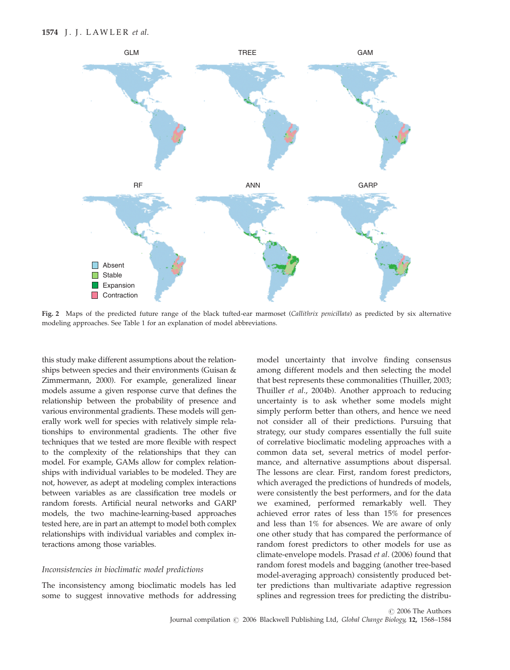

Fig. 2 Maps of the predicted future range of the black tufted-ear marmoset (Callithrix penicillata) as predicted by six alternative modeling approaches. See Table 1 for an explanation of model abbreviations.

this study make different assumptions about the relationships between species and their environments (Guisan & Zimmermann, 2000). For example, generalized linear models assume a given response curve that defines the relationship between the probability of presence and various environmental gradients. These models will generally work well for species with relatively simple relationships to environmental gradients. The other five techniques that we tested are more flexible with respect to the complexity of the relationships that they can model. For example, GAMs allow for complex relationships with individual variables to be modeled. They are not, however, as adept at modeling complex interactions between variables as are classification tree models or random forests. Artificial neural networks and GARP models, the two machine-learning-based approaches tested here, are in part an attempt to model both complex relationships with individual variables and complex interactions among those variables.

#### Inconsistencies in bioclimatic model predictions

The inconsistency among bioclimatic models has led some to suggest innovative methods for addressing model uncertainty that involve finding consensus among different models and then selecting the model that best represents these commonalities (Thuiller, 2003; Thuiller et al., 2004b). Another approach to reducing uncertainty is to ask whether some models might simply perform better than others, and hence we need not consider all of their predictions. Pursuing that strategy, our study compares essentially the full suite of correlative bioclimatic modeling approaches with a common data set, several metrics of model performance, and alternative assumptions about dispersal. The lessons are clear. First, random forest predictors, which averaged the predictions of hundreds of models, were consistently the best performers, and for the data we examined, performed remarkably well. They achieved error rates of less than 15% for presences and less than 1% for absences. We are aware of only one other study that has compared the performance of random forest predictors to other models for use as climate-envelope models. Prasad et al. (2006) found that random forest models and bagging (another tree-based model-averaging approach) consistently produced better predictions than multivariate adaptive regression splines and regression trees for predicting the distribu-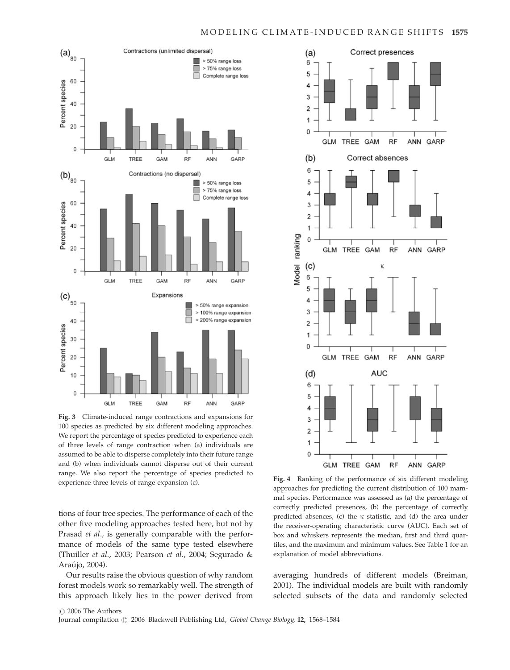



Fig. 3 Climate-induced range contractions and expansions for 100 species as predicted by six different modeling approaches. We report the percentage of species predicted to experience each of three levels of range contraction when (a) individuals are assumed to be able to disperse completely into their future range and (b) when individuals cannot disperse out of their current range. We also report the percentage of species predicted to

tions of four tree species. The performance of each of the other five modeling approaches tested here, but not by Prasad et al., is generally comparable with the performance of models of the same type tested elsewhere (Thuiller et al., 2003; Pearson et al., 2004; Segurado & Araújo, 2004).

Our results raise the obvious question of why random forest models work so remarkably well. The strength of this approach likely lies in the power derived from



Eig. 4 Ranking of the performance of six different modeling experience three levels of range expansion (c). approaches for predicting the current distribution of 100 mammal species. Performance was assessed as (a) the percentage of correctly predicted presences, (b) the percentage of correctly predicted absences, (c) the  $\kappa$  statistic, and (d) the area under the receiver-operating characteristic curve (AUC). Each set of box and whiskers represents the median, first and third quartiles, and the maximum and minimum values. See Table 1 for an explanation of model abbreviations.

averaging hundreds of different models (Breiman, 2001). The individual models are built with randomly selected subsets of the data and randomly selected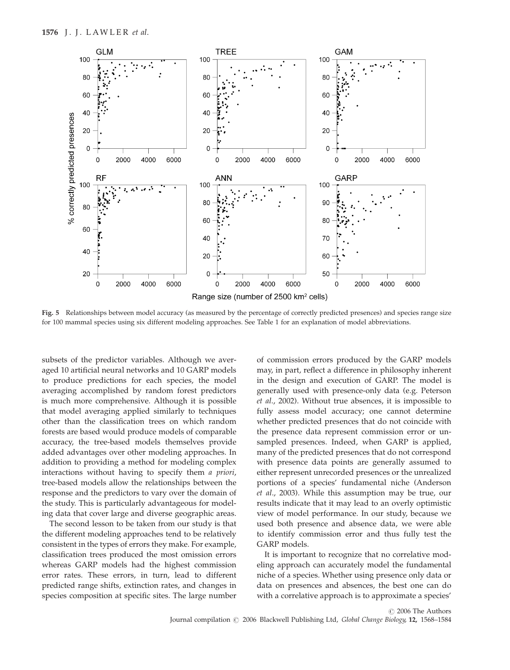

Fig. 5 Relationships between model accuracy (as measured by the percentage of correctly predicted presences) and species range size for 100 mammal species using six different modeling approaches. See Table 1 for an explanation of model abbreviations.

subsets of the predictor variables. Although we averaged 10 artificial neural networks and 10 GARP models to produce predictions for each species, the model averaging accomplished by random forest predictors is much more comprehensive. Although it is possible that model averaging applied similarly to techniques other than the classification trees on which random forests are based would produce models of comparable accuracy, the tree-based models themselves provide added advantages over other modeling approaches. In addition to providing a method for modeling complex interactions without having to specify them a priori, tree-based models allow the relationships between the response and the predictors to vary over the domain of the study. This is particularly advantageous for modeling data that cover large and diverse geographic areas.

The second lesson to be taken from our study is that the different modeling approaches tend to be relatively consistent in the types of errors they make. For example, classification trees produced the most omission errors whereas GARP models had the highest commission error rates. These errors, in turn, lead to different predicted range shifts, extinction rates, and changes in species composition at specific sites. The large number of commission errors produced by the GARP models may, in part, reflect a difference in philosophy inherent in the design and execution of GARP. The model is generally used with presence-only data (e.g. Peterson et al., 2002). Without true absences, it is impossible to fully assess model accuracy; one cannot determine whether predicted presences that do not coincide with the presence data represent commission error or unsampled presences. Indeed, when GARP is applied, many of the predicted presences that do not correspond with presence data points are generally assumed to either represent unrecorded presences or the unrealized portions of a species' fundamental niche (Anderson et al., 2003). While this assumption may be true, our results indicate that it may lead to an overly optimistic view of model performance. In our study, because we used both presence and absence data, we were able to identify commission error and thus fully test the GARP models.

It is important to recognize that no correlative modeling approach can accurately model the fundamental niche of a species. Whether using presence only data or data on presences and absences, the best one can do with a correlative approach is to approximate a species'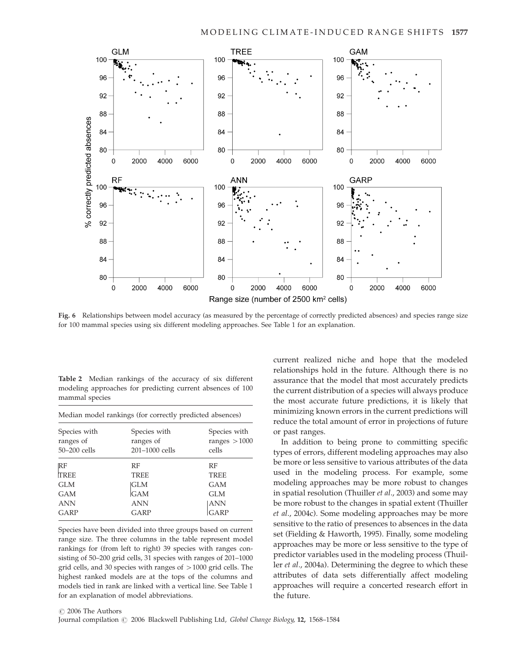

Fig. 6 Relationships between model accuracy (as measured by the percentage of correctly predicted absences) and species range size for 100 mammal species using six different modeling approaches. See Table 1 for an explanation.

|                |  |  | <b>Table 2</b> Median rankings of the accuracy of six different |  |  |
|----------------|--|--|-----------------------------------------------------------------|--|--|
|                |  |  | modeling approaches for predicting current absences of 100      |  |  |
| mammal species |  |  |                                                                 |  |  |

|                  | Median model rankings (for correctly predicted absences) |                |
|------------------|----------------------------------------------------------|----------------|
| Species with     | Species with                                             | Species with   |
| ranges of        | ranges of                                                | ranges $>1000$ |
| $50 - 200$ cells | 201-1000 cells                                           | cells          |
| RF               | RF                                                       | RF             |
| <b>TREE</b>      | <b>TREE</b>                                              | <b>TREE</b>    |
| <b>GLM</b>       | GLM                                                      | GAM            |
| GAM              | GAM                                                      | GLM            |
| <b>ANN</b>       | <b>ANN</b>                                               | <b>ANN</b>     |
| GARP             | GARP                                                     | GARP           |

Species have been divided into three groups based on current range size. The three columns in the table represent model rankings for (from left to right) 39 species with ranges consisting of 50–200 grid cells, 31 species with ranges of 201–1000 grid cells, and 30 species with ranges of  $>1000$  grid cells. The highest ranked models are at the tops of the columns and models tied in rank are linked with a vertical line. See Table 1 for an explanation of model abbreviations.

current realized niche and hope that the modeled relationships hold in the future. Although there is no assurance that the model that most accurately predicts the current distribution of a species will always produce the most accurate future predictions, it is likely that minimizing known errors in the current predictions will reduce the total amount of error in projections of future or past ranges.

In addition to being prone to committing specific types of errors, different modeling approaches may also be more or less sensitive to various attributes of the data used in the modeling process. For example, some modeling approaches may be more robust to changes in spatial resolution (Thuiller et al., 2003) and some may be more robust to the changes in spatial extent (Thuiller et al., 2004c). Some modeling approaches may be more sensitive to the ratio of presences to absences in the data set (Fielding & Haworth, 1995). Finally, some modeling approaches may be more or less sensitive to the type of predictor variables used in the modeling process (Thuiller et al., 2004a). Determining the degree to which these attributes of data sets differentially affect modeling approaches will require a concerted research effort in the future.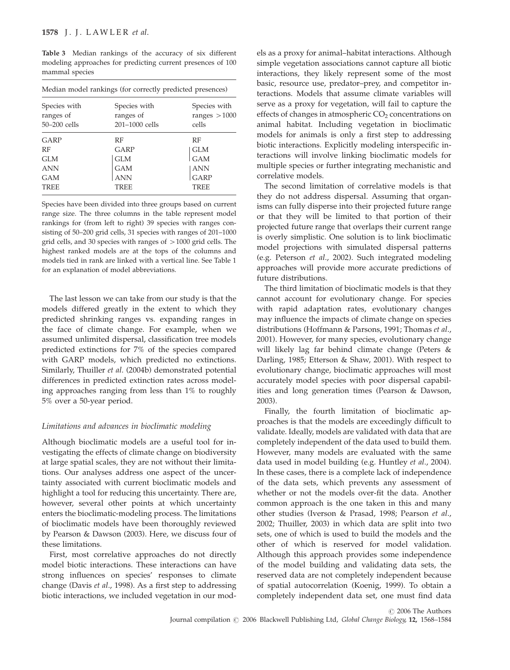Table 3 Median rankings of the accuracy of six different modeling approaches for predicting current presences of 100 mammal species

| Median model rankings (for correctly predicted presences) |                                         |
|-----------------------------------------------------------|-----------------------------------------|
| Species with<br>ranges of<br>201-1000 cells               | Species with<br>ranges $>1000$<br>cells |
| RF                                                        | RF                                      |
| GARP                                                      | <b>GLM</b>                              |
| <b>GLM</b>                                                | GAM                                     |
| <b>GAM</b>                                                | <b>ANN</b>                              |
| <b>ANN</b><br>TREE                                        | GARP<br>TREE                            |
|                                                           |                                         |

Species have been divided into three groups based on current range size. The three columns in the table represent model rankings for (from left to right) 39 species with ranges consisting of 50–200 grid cells, 31 species with ranges of 201–1000 grid cells, and 30 species with ranges of  $>1000$  grid cells. The highest ranked models are at the tops of the columns and models tied in rank are linked with a vertical line. See Table 1 for an explanation of model abbreviations.

The last lesson we can take from our study is that the models differed greatly in the extent to which they predicted shrinking ranges vs. expanding ranges in the face of climate change. For example, when we assumed unlimited dispersal, classification tree models predicted extinctions for 7% of the species compared with GARP models, which predicted no extinctions. Similarly, Thuiller et al. (2004b) demonstrated potential differences in predicted extinction rates across modeling approaches ranging from less than 1% to roughly 5% over a 50-year period.

#### Limitations and advances in bioclimatic modeling

Although bioclimatic models are a useful tool for investigating the effects of climate change on biodiversity at large spatial scales, they are not without their limitations. Our analyses address one aspect of the uncertainty associated with current bioclimatic models and highlight a tool for reducing this uncertainty. There are, however, several other points at which uncertainty enters the bioclimatic-modeling process. The limitations of bioclimatic models have been thoroughly reviewed by Pearson & Dawson (2003). Here, we discuss four of these limitations.

First, most correlative approaches do not directly model biotic interactions. These interactions can have strong influences on species' responses to climate change (Davis et al., 1998). As a first step to addressing biotic interactions, we included vegetation in our models as a proxy for animal–habitat interactions. Although simple vegetation associations cannot capture all biotic interactions, they likely represent some of the most basic, resource use, predator–prey, and competitor interactions. Models that assume climate variables will serve as a proxy for vegetation, will fail to capture the effects of changes in atmospheric  $CO<sub>2</sub>$  concentrations on animal habitat. Including vegetation in bioclimatic models for animals is only a first step to addressing biotic interactions. Explicitly modeling interspecific interactions will involve linking bioclimatic models for multiple species or further integrating mechanistic and correlative models.

The second limitation of correlative models is that they do not address dispersal. Assuming that organisms can fully disperse into their projected future range or that they will be limited to that portion of their projected future range that overlaps their current range is overly simplistic. One solution is to link bioclimatic model projections with simulated dispersal patterns (e.g. Peterson et al., 2002). Such integrated modeling approaches will provide more accurate predictions of future distributions.

The third limitation of bioclimatic models is that they cannot account for evolutionary change. For species with rapid adaptation rates, evolutionary changes may influence the impacts of climate change on species distributions (Hoffmann & Parsons, 1991; Thomas et al., 2001). However, for many species, evolutionary change will likely lag far behind climate change (Peters & Darling, 1985; Etterson & Shaw, 2001). With respect to evolutionary change, bioclimatic approaches will most accurately model species with poor dispersal capabilities and long generation times (Pearson & Dawson, 2003).

Finally, the fourth limitation of bioclimatic approaches is that the models are exceedingly difficult to validate. Ideally, models are validated with data that are completely independent of the data used to build them. However, many models are evaluated with the same data used in model building (e.g. Huntley et al., 2004). In these cases, there is a complete lack of independence of the data sets, which prevents any assessment of whether or not the models over-fit the data. Another common approach is the one taken in this and many other studies (Iverson & Prasad, 1998; Pearson et al., 2002; Thuiller, 2003) in which data are split into two sets, one of which is used to build the models and the other of which is reserved for model validation. Although this approach provides some independence of the model building and validating data sets, the reserved data are not completely independent because of spatial autocorrelation (Koenig, 1999). To obtain a completely independent data set, one must find data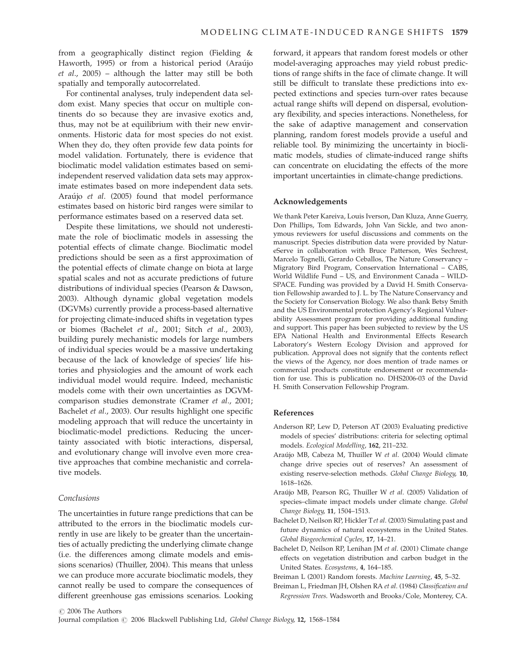from a geographically distinct region (Fielding & Haworth, 1995) or from a historical period (Araújo et al., 2005) – although the latter may still be both spatially and temporally autocorrelated.

For continental analyses, truly independent data seldom exist. Many species that occur on multiple continents do so because they are invasive exotics and, thus, may not be at equilibrium with their new environments. Historic data for most species do not exist. When they do, they often provide few data points for model validation. Fortunately, there is evidence that bioclimatic model validation estimates based on semiindependent reserved validation data sets may approximate estimates based on more independent data sets. Araújo et al. (2005) found that model performance estimates based on historic bird ranges were similar to performance estimates based on a reserved data set.

Despite these limitations, we should not underestimate the role of bioclimatic models in assessing the potential effects of climate change. Bioclimatic model predictions should be seen as a first approximation of the potential effects of climate change on biota at large spatial scales and not as accurate predictions of future distributions of individual species (Pearson & Dawson, 2003). Although dynamic global vegetation models (DGVMs) currently provide a process-based alternative for projecting climate-induced shifts in vegetation types or biomes (Bachelet et al., 2001; Sitch et al., 2003), building purely mechanistic models for large numbers of individual species would be a massive undertaking because of the lack of knowledge of species' life histories and physiologies and the amount of work each individual model would require. Indeed, mechanistic models come with their own uncertainties as DGVMcomparison studies demonstrate (Cramer et al., 2001; Bachelet et al., 2003). Our results highlight one specific modeling approach that will reduce the uncertainty in bioclimatic-model predictions. Reducing the uncertainty associated with biotic interactions, dispersal, and evolutionary change will involve even more creative approaches that combine mechanistic and correlative models.

#### Conclusions

The uncertainties in future range predictions that can be attributed to the errors in the bioclimatic models currently in use are likely to be greater than the uncertainties of actually predicting the underlying climate change (i.e. the differences among climate models and emissions scenarios) (Thuiller, 2004). This means that unless we can produce more accurate bioclimatic models, they cannot really be used to compare the consequences of different greenhouse gas emissions scenarios. Looking

forward, it appears that random forest models or other model-averaging approaches may yield robust predictions of range shifts in the face of climate change. It will still be difficult to translate these predictions into expected extinctions and species turn-over rates because actual range shifts will depend on dispersal, evolutionary flexibility, and species interactions. Nonetheless, for the sake of adaptive management and conservation planning, random forest models provide a useful and reliable tool. By minimizing the uncertainty in bioclimatic models, studies of climate-induced range shifts can concentrate on elucidating the effects of the more important uncertainties in climate-change predictions.

## Acknowledgements

We thank Peter Kareiva, Louis Iverson, Dan Kluza, Anne Guerry, Don Phillips, Tom Edwards, John Van Sickle, and two anonymous reviewers for useful discussions and comments on the manuscript. Species distribution data were provided by NatureServe in collaboration with Bruce Patterson, Wes Sechrest, Marcelo Tognelli, Gerardo Ceballos, The Nature Conservancy – Migratory Bird Program, Conservation International – CABS, World Wildlife Fund – US, and Environment Canada – WILD-SPACE. Funding was provided by a David H. Smith Conservation Fellowship awarded to J. L. by The Nature Conservancy and the Society for Conservation Biology. We also thank Betsy Smith and the US Environmental protection Agency's Regional Vulnerability Assessment program for providing additional funding and support. This paper has been subjected to review by the US EPA National Health and Environmental Effects Research Laboratory's Western Ecology Division and approved for publication. Approval does not signify that the contents reflect the views of the Agency, nor does mention of trade names or commercial products constitute endorsement or recommendation for use. This is publication no. DHS2006-03 of the David H. Smith Conservation Fellowship Program.

#### References

- Anderson RP, Lew D, Peterson AT (2003) Evaluating predictive models of species' distributions: criteria for selecting optimal models. Ecological Modelling, 162, 211–232.
- Araújo MB, Cabeza M, Thuiller W et al. (2004) Would climate change drive species out of reserves? An assessment of existing reserve-selection methods. Global Change Biology, 10, 1618–1626.
- Araújo MB, Pearson RG, Thuiller W et al. (2005) Validation of species–climate impact models under climate change. Global Change Biology, 11, 1504–1513.
- Bachelet D, Neilson RP, Hickler Tet al. (2003) Simulating past and future dynamics of natural ecosystems in the United States. Global Biogeochemical Cycles, 17, 14–21.
- Bachelet D, Neilson RP, Lenihan JM et al. (2001) Climate change effects on vegetation distribution and carbon budget in the United States. Ecosystems, 4, 164–185.
- Breiman L (2001) Random forests. Machine Learning, 45, 5–32.
- Breiman L, Friedman JH, Olshen RA et al. (1984) Classification and Regression Trees. Wadsworth and Brooks/Cole, Monterey, CA.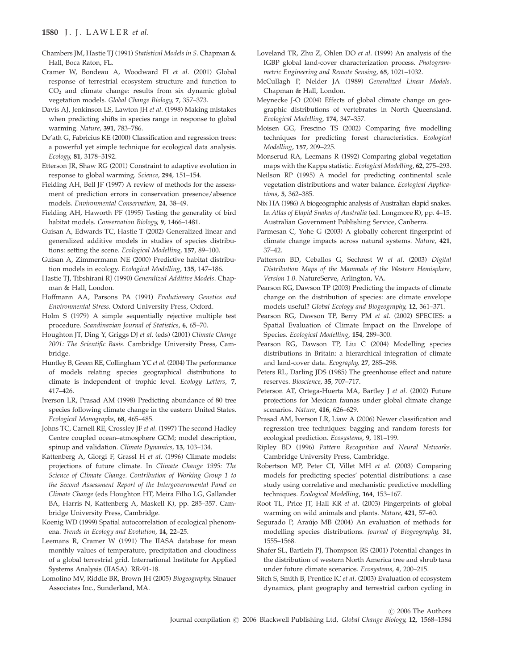- Chambers JM, Hastie TJ (1991) Statistical Models in S. Chapman & Hall, Boca Raton, FL.
- Cramer W, Bondeau A, Woodward FI et al. (2001) Global response of terrestrial ecosystem structure and function to CO2 and climate change: results from six dynamic global vegetation models. Global Change Biology, 7, 357–373.
- Davis AJ, Jenkinson LS, Lawton JH et al. (1998) Making mistakes when predicting shifts in species range in response to global warming. Nature, 391, 783–786.
- De'ath G, Fabricius KE (2000) Classification and regression trees: a powerful yet simple technique for ecological data analysis. Ecology, 81, 3178–3192.
- Etterson JR, Shaw RG (2001) Constraint to adaptive evolution in response to global warming. Science, 294, 151–154.
- Fielding AH, Bell JF (1997) A review of methods for the assessment of prediction errors in conservation presence/absence models. Environmental Conservation, 24, 38–49.
- Fielding AH, Haworth PF (1995) Testing the generality of bird habitat models. Conservation Biology, 9, 1466–1481.
- Guisan A, Edwards TC, Hastie T (2002) Generalized linear and generalized additive models in studies of species distributions: setting the scene. Ecological Modelling, 157, 89–100.
- Guisan A, Zimmermann NE (2000) Predictive habitat distribution models in ecology. Ecological Modelling, 135, 147–186.
- Hastie TJ, Tibshirani RJ (1990) Generalized Additive Models. Chapman & Hall, London.
- Hoffmann AA, Parsons PA (1991) Evolutionary Genetics and Environmental Stress. Oxford University Press, Oxford.
- Holm S (1979) A simple sequentially rejective multiple test procedure. Scandinavian Journal of Statistics, 6, 65–70.
- Houghton JT, Ding Y, Griggs DJ et al. (eds) (2001) Climate Change 2001: The Scientific Basis. Cambridge University Press, Cambridge.
- Huntley B, Green RE, Collingham YC et al. (2004) The performance of models relating species geographical distributions to climate is independent of trophic level. Ecology Letters, 7, 417–426.
- Iverson LR, Prasad AM (1998) Predicting abundance of 80 tree species following climate change in the eastern United States. Ecological Monographs, 68, 465–485.
- Johns TC, Carnell RE, Crossley JF et al. (1997) The second Hadley Centre coupled ocean–atmosphere GCM; model description, spinup and validation. Climate Dynamics, 13, 103–134.
- Kattenberg A, Giorgi F, Grassl H et al. (1996) Climate models: projections of future climate. In Climate Change 1995: The Science of Climate Change. Contribution of Working Group 1 to the Second Assessment Report of the Intergovernmental Panel on Climate Change (eds Houghton HT, Meira Filho LG, Gallander BA, Harris N, Kattenberg A, Maskell K), pp. 285–357. Cambridge University Press, Cambridge.
- Koenig WD (1999) Spatial autocorrelation of ecological phenomena. Trends in Ecology and Evolution, 14, 22–25.
- Leemans R, Cramer W (1991) The IIASA database for mean monthly values of temperature, precipitation and cloudiness of a global terrestrial grid. International Institute for Applied Systems Analysis (IIASA). RR-91-18.
- Lomolino MV, Riddle BR, Brown JH (2005) Biogeography. Sinauer Associates Inc., Sunderland, MA.
- Loveland TR, Zhu Z, Ohlen DO et al. (1999) An analysis of the IGBP global land-cover characterization process. Photogrammetric Engineering and Remote Sensing, 65, 1021–1032.
- McCullagh P, Nelder JA (1989) Generalized Linear Models. Chapman & Hall, London.
- Meynecke J-O (2004) Effects of global climate change on geographic distributions of vertebrates in North Queensland. Ecological Modelling, 174, 347–357.
- Moisen GG, Frescino TS (2002) Comparing five modelling techniques for predicting forest characteristics. Ecological Modelling, 157, 209–225.
- Monserud RA, Leemans R (1992) Comparing global vegetation maps with the Kappa statistic. Ecological Modelling, 62, 275–293.
- Neilson RP (1995) A model for predicting continental scale vegetation distributions and water balance. Ecological Applications, 5, 362–385.
- Nix HA (1986) A biogeographic analysis of Australian elapid snakes. In Atlas of Elapid Snakes of Australia (ed. Longmore R), pp. 4–15. Australian Government Publishing Service, Canberra.
- Parmesan C, Yohe G (2003) A globally coherent fingerprint of climate change impacts across natural systems. Nature, 421, 37–42.
- Patterson BD, Ceballos G, Sechrest W et al. (2003) Digital Distribution Maps of the Mammals of the Western Hemisphere, Version 1.0. NatureServe, Arlington, VA.
- Pearson RG, Dawson TP (2003) Predicting the impacts of climate change on the distribution of species: are climate envelope models useful? Global Ecology and Biogeography, 12, 361–371.
- Pearson RG, Dawson TP, Berry PM et al. (2002) SPECIES: a Spatial Evaluation of Climate Impact on the Envelope of Species. Ecological Modelling, 154, 289–300.
- Pearson RG, Dawson TP, Liu C (2004) Modelling species distributions in Britain: a hierarchical integration of climate and land-cover data. Ecography, 27, 285–298.
- Peters RL, Darling JDS (1985) The greenhouse effect and nature reserves. Bioscience, 35, 707–717.
- Peterson AT, Ortega-Huerta MA, Bartley J et al. (2002) Future projections for Mexican faunas under global climate change scenarios. Nature, 416, 626–629.
- Prasad AM, Iverson LR, Liaw A (2006) Newer classification and regression tree techniques: bagging and random forests for ecological prediction. Ecosystems, 9, 181–199.
- Ripley BD (1996) Pattern Recognition and Neural Networks. Cambridge University Press, Cambridge.
- Robertson MP, Peter CI, Villet MH et al. (2003) Comparing models for predicting species' potential distributions: a case study using correlative and mechanistic predictive modelling techniques. Ecological Modelling, 164, 153–167.
- Root TL, Price JT, Hall KR et al. (2003) Fingerprints of global warming on wild animals and plants. Nature, 421, 57–60.
- Segurado P, Araújo MB (2004) An evaluation of methods for modelling species distributions. Journal of Biogeography, 31, 1555–1568.
- Shafer SL, Bartlein PJ, Thompson RS (2001) Potential changes in the distribution of western North America tree and shrub taxa under future climate scenarios. Ecosystems, 4, 200–215.
- Sitch S, Smith B, Prentice IC et al. (2003) Evaluation of ecosystem dynamics, plant geography and terrestrial carbon cycling in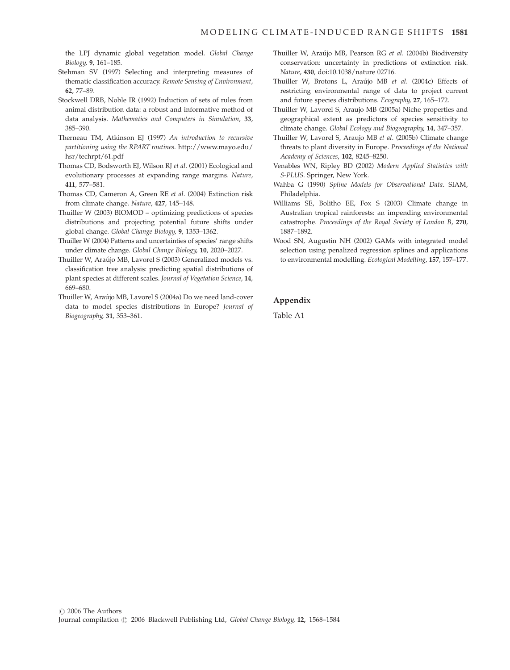the LPJ dynamic global vegetation model. Global Change Biology, 9, 161–185.

- Stehman SV (1997) Selecting and interpreting measures of thematic classification accuracy. Remote Sensing of Environment, 62, 77–89.
- Stockwell DRB, Noble IR (1992) Induction of sets of rules from animal distribution data: a robust and informative method of data analysis. Mathematics and Computers in Simulation, 33, 385–390.
- Therneau TM, Atkinson EJ (1997) An introduction to recursive partitioning using the RPART routines. http://www.mayo.edu/ hsr/techrpt/61.pdf
- Thomas CD, Bodsworth EJ, Wilson RJ et al. (2001) Ecological and evolutionary processes at expanding range margins. Nature, 411, 577–581.
- Thomas CD, Cameron A, Green RE et al. (2004) Extinction risk from climate change. Nature, 427, 145–148.
- Thuiller W (2003) BIOMOD optimizing predictions of species distributions and projecting potential future shifts under global change. Global Change Biology, 9, 1353–1362.
- Thuiller W (2004) Patterns and uncertainties of species' range shifts under climate change. Global Change Biology, 10, 2020–2027.
- Thuiller W, Araújo MB, Lavorel S (2003) Generalized models vs. classification tree analysis: predicting spatial distributions of plant species at different scales. Journal of Vegetation Science, 14, 669–680.
- Thuiller W, Araújo MB, Lavorel S (2004a) Do we need land-cover data to model species distributions in Europe? Journal of Biogeography, 31, 353–361.
- Thuiller W, Araújo MB, Pearson RG et al. (2004b) Biodiversity conservation: uncertainty in predictions of extinction risk. Nature, 430, doi:10.1038/nature 02716.
- Thuiller W, Brotons L, Araújo MB et al. (2004c) Effects of restricting environmental range of data to project current and future species distributions. Ecography, 27, 165–172.
- Thuiller W, Lavorel S, Araujo MB (2005a) Niche properties and geographical extent as predictors of species sensitivity to climate change. Global Ecology and Biogeography, 14, 347–357.
- Thuiller W, Lavorel S, Araujo MB et al. (2005b) Climate change threats to plant diversity in Europe. Proceedings of the National Academy of Sciences, 102, 8245–8250.
- Venables WN, Ripley BD (2002) Modern Applied Statistics with S-PLUS. Springer, New York.
- Wahba G (1990) Spline Models for Observational Data. SIAM, Philadelphia.
- Williams SE, Bolitho EE, Fox S (2003) Climate change in Australian tropical rainforests: an impending environmental catastrophe. Proceedings of the Royal Society of London B, 270, 1887–1892.
- Wood SN, Augustin NH (2002) GAMs with integrated model selection using penalized regression splines and applications to environmental modelling. Ecological Modelling, 157, 157–177.

# Appendix

Table A1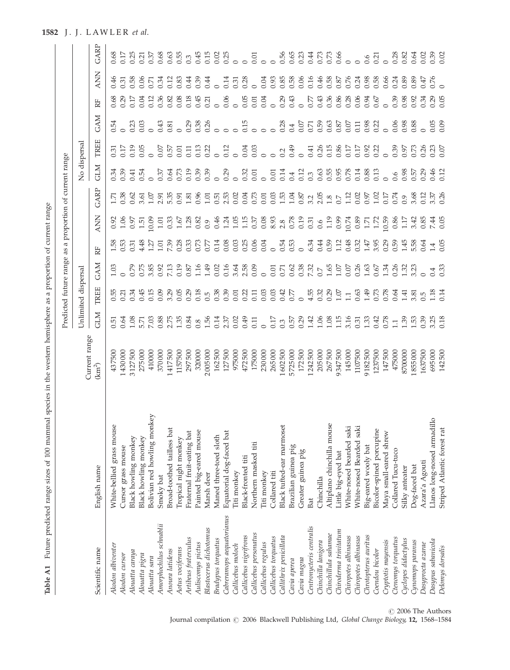|                               |                                                      |                    |                |                                                   |                               |                                             |                                                                                                                                                                                                                                                                                                                                                                                                                          | Predicted future range as a proportion of current range                                     |            |                      |                                                                                                                                                  |                  |                            |                                                                           |
|-------------------------------|------------------------------------------------------|--------------------|----------------|---------------------------------------------------|-------------------------------|---------------------------------------------|--------------------------------------------------------------------------------------------------------------------------------------------------------------------------------------------------------------------------------------------------------------------------------------------------------------------------------------------------------------------------------------------------------------------------|---------------------------------------------------------------------------------------------|------------|----------------------|--------------------------------------------------------------------------------------------------------------------------------------------------|------------------|----------------------------|---------------------------------------------------------------------------|
|                               |                                                      | Current range      |                | Unlimited dispersal                               |                               |                                             |                                                                                                                                                                                                                                                                                                                                                                                                                          |                                                                                             |            | No dispersal         |                                                                                                                                                  |                  |                            |                                                                           |
| Scientific name               | English name                                         | (km <sup>2</sup> ) | <b>GLM</b>     | <b>TREE</b>                                       | <b>GAM</b>                    | EE                                          | <b>NN</b>                                                                                                                                                                                                                                                                                                                                                                                                                | GARP                                                                                        | <b>GLM</b> | <b>TREE</b>          | <b>GAM</b>                                                                                                                                       | EE               | <b>ANN</b>                 | GARP                                                                      |
| Akodon albiventer             | $\circ$<br>White-bellied grass mous                  | 437500             |                |                                                   |                               |                                             |                                                                                                                                                                                                                                                                                                                                                                                                                          |                                                                                             |            |                      |                                                                                                                                                  |                  |                            |                                                                           |
| Akodon cursor                 | Cursor grass mouse                                   | 1430000            |                | 0.55                                              | $\frac{3}{10}$                | $\begin{array}{c} 1.53 \\ 0.53 \end{array}$ | $0.92$<br>1.06                                                                                                                                                                                                                                                                                                                                                                                                           | $\frac{1.71}{0.38}$                                                                         | 0.34       | $0.31$<br>$0.17$     |                                                                                                                                                  | 0.68             | $0.46$<br>$0.31$           | $0.68$<br>0.17                                                            |
| Alouatta caraya               | Black howling monkey                                 | 3127500            |                | 0.34                                              | 0.79                          | 0.31                                        | $\begin{array}{l} \mathcal{B}_{1}^{1} \mathcal{B}_{2}^{1} \mathcal{B}_{3}^{2} \mathcal{B}_{4}^{3} \mathcal{B}_{5}^{4} \mathcal{B}_{6}^{4} \mathcal{B}_{7}^{4} \mathcal{B}_{8}^{4} \mathcal{B}_{9}^{4} \mathcal{B}_{1}^{5} \mathcal{B}_{1}^{6} \mathcal{B}_{2}^{6} \mathcal{B}_{3}^{6} \mathcal{B}_{4}^{7} \mathcal{B}_{5}^{8} \mathcal{B}_{6}^{7} \mathcal{B}_{7}^{8} \mathcal{B}_{8}^{7} \mathcal{B}_{8}^{7} \mathcal{$ |                                                                                             |            | 0.19                 | 0.5<br>0.000 0.000 0.000 0.000<br>0.000 0.000 0.000 0.000 0.000 0.000 0.000 0.000 0.000 0.000 0.000 0.000 0.000 0.000 0.000 0.000 0.000 0.000 0. | 0.17             | 0.58                       | 0.25                                                                      |
| Alouatta pigra                | Black howling monkey                                 | 275000             |                | 0.45                                              |                               | 4.48                                        |                                                                                                                                                                                                                                                                                                                                                                                                                          |                                                                                             | 0.54       |                      |                                                                                                                                                  | 0.04             | 0.06                       | 0.21                                                                      |
| Alouatta sara                 | Bolivian red howling monkey                          | 410000             |                | 15<br>0.08<br>0.05                                |                               | 1.27                                        |                                                                                                                                                                                                                                                                                                                                                                                                                          |                                                                                             |            | 0.05<br>0.05<br>0.07 |                                                                                                                                                  | 0.12             | 0.71                       |                                                                           |
| Amorphochilus schnablii       | Smoky bat                                            | 370000             |                |                                                   |                               |                                             |                                                                                                                                                                                                                                                                                                                                                                                                                          |                                                                                             |            |                      |                                                                                                                                                  | $0.36$<br>$0.82$ | 0.34                       |                                                                           |
| Anoura latidens               | Broad-toothed tailless ba                            | 417500             |                |                                                   |                               |                                             |                                                                                                                                                                                                                                                                                                                                                                                                                          |                                                                                             |            |                      |                                                                                                                                                  |                  | 0.12                       |                                                                           |
| Aotus vociferans              | Tropical night monkey                                | 1157500            |                |                                                   |                               | $1.01$<br>$7.39$<br>$0.28$                  |                                                                                                                                                                                                                                                                                                                                                                                                                          | 8 5 5 5 5 5 5 5 6 7 6 7 6 7 6 7 6 7 7 8 9 7 7 8 9 7 7 8 9 7 7 8 9 7 7 8 9 7 7 8 9 7 7 8 9 7 |            |                      |                                                                                                                                                  | 0.08             | 0.83                       | $3,860$<br>$0.660$<br>$0.660$<br>$0.660$<br>$0.660$<br>$0.660$<br>$0.660$ |
| Artibeus fraterculus          | Fraternal fruit-eating bat                           | 297500             |                |                                                   |                               |                                             |                                                                                                                                                                                                                                                                                                                                                                                                                          |                                                                                             |            |                      |                                                                                                                                                  | 0.18             | 0.44                       |                                                                           |
| Auliscomys pictus             | Painted big-eared mouse                              | 320000             |                |                                                   |                               |                                             |                                                                                                                                                                                                                                                                                                                                                                                                                          |                                                                                             |            |                      |                                                                                                                                                  |                  | 0.39                       |                                                                           |
| <b>Blastocerus</b> dichotomus | Marsh deer                                           | 005000             |                |                                                   |                               |                                             |                                                                                                                                                                                                                                                                                                                                                                                                                          |                                                                                             |            |                      |                                                                                                                                                  | 0.45             | 0.44                       |                                                                           |
| <b>Bradypus</b> torquatus     | Maned three-toed sloth                               | 162500             |                |                                                   |                               |                                             |                                                                                                                                                                                                                                                                                                                                                                                                                          |                                                                                             |            |                      |                                                                                                                                                  |                  |                            |                                                                           |
| Cabreramops aequatorianus     | Equatorial dog-faced bat                             | 127500             |                |                                                   |                               |                                             |                                                                                                                                                                                                                                                                                                                                                                                                                          |                                                                                             |            |                      |                                                                                                                                                  | 0.06             | 0.14                       |                                                                           |
| Callicebus moloch             | Titi monkey                                          | 975000             |                |                                                   |                               |                                             |                                                                                                                                                                                                                                                                                                                                                                                                                          |                                                                                             |            |                      |                                                                                                                                                  |                  | 0.31                       |                                                                           |
| Callicebus nigrifrons         | Black-fronted titi                                   | 472500             |                |                                                   |                               |                                             |                                                                                                                                                                                                                                                                                                                                                                                                                          |                                                                                             |            |                      | 0.15                                                                                                                                             | 0.05             | 0.28                       |                                                                           |
| Callicebus personatus         | Northern masked titi                                 | 175000             |                |                                                   |                               |                                             |                                                                                                                                                                                                                                                                                                                                                                                                                          |                                                                                             |            |                      |                                                                                                                                                  | $0.01$<br>$0.04$ |                            | $\frac{5}{9}$                                                             |
| Callicebus regulus            | Titi monkey                                          | 230000             |                | $\begin{array}{c} 238 \\ 0.78 \\ 0.6 \end{array}$ |                               |                                             |                                                                                                                                                                                                                                                                                                                                                                                                                          |                                                                                             |            |                      |                                                                                                                                                  |                  | 0.04                       |                                                                           |
| Callicebus torquatus          | Collared titi                                        | 265000             |                |                                                   |                               |                                             |                                                                                                                                                                                                                                                                                                                                                                                                                          |                                                                                             |            |                      |                                                                                                                                                  |                  | 0.93                       |                                                                           |
| Callithrix penicillata        | Black tufted-ear marmoset                            | 1602500            |                |                                                   |                               |                                             |                                                                                                                                                                                                                                                                                                                                                                                                                          |                                                                                             |            |                      |                                                                                                                                                  | 0.29             | 0.85                       |                                                                           |
| Cavia aperea                  | Brazilian guinea pig                                 | 5725000            |                |                                                   |                               |                                             |                                                                                                                                                                                                                                                                                                                                                                                                                          |                                                                                             |            |                      |                                                                                                                                                  | 0.43             |                            |                                                                           |
| Cavia magna                   | Greater guinea pig                                   | 172500             |                |                                                   |                               |                                             |                                                                                                                                                                                                                                                                                                                                                                                                                          |                                                                                             |            |                      |                                                                                                                                                  |                  |                            |                                                                           |
| Centronycteris centralis      | Bat                                                  | 242500             |                |                                                   |                               |                                             |                                                                                                                                                                                                                                                                                                                                                                                                                          |                                                                                             |            |                      |                                                                                                                                                  | 0.77             |                            |                                                                           |
| Chinchilla lanigera           | Chinchilla                                           | 205000             |                |                                                   |                               |                                             |                                                                                                                                                                                                                                                                                                                                                                                                                          |                                                                                             |            |                      |                                                                                                                                                  | 0.43             | $0.06$<br>$0.16$<br>$0.58$ | 565<br>0.634<br>0.63<br>0.66                                              |
| Chinchillula sahamae          | Altiplano chinchilla mouse                           | 267500             |                |                                                   |                               |                                             |                                                                                                                                                                                                                                                                                                                                                                                                                          |                                                                                             |            |                      |                                                                                                                                                  | 0.36             |                            |                                                                           |
| Chiroderna trinitatum         | Little big-eyed bat                                  | 9347500            |                |                                                   |                               |                                             |                                                                                                                                                                                                                                                                                                                                                                                                                          |                                                                                             |            |                      |                                                                                                                                                  | 0.86             | 87<br>0.038<br>0.00        |                                                                           |
| Chiropotes albinasus          | White-nosed bearded saki<br>White-nosed Bearded saki | 145000             |                |                                                   |                               |                                             |                                                                                                                                                                                                                                                                                                                                                                                                                          |                                                                                             |            |                      |                                                                                                                                                  | 0.28             |                            |                                                                           |
| Chiropotes albinasus          |                                                      | 1107500            |                |                                                   |                               |                                             |                                                                                                                                                                                                                                                                                                                                                                                                                          |                                                                                             |            |                      |                                                                                                                                                  |                  |                            |                                                                           |
| Chrotopterus auritus          | Big-eared wooly bat                                  | 9182500            |                |                                                   |                               |                                             |                                                                                                                                                                                                                                                                                                                                                                                                                          |                                                                                             |            |                      |                                                                                                                                                  | 0.94             |                            | 0.6                                                                       |
| Coendou bicolor               | Bicolor-spined porcupine                             | 1237500            |                |                                                   |                               |                                             |                                                                                                                                                                                                                                                                                                                                                                                                                          |                                                                                             |            |                      |                                                                                                                                                  | 0.67             |                            | 0.21                                                                      |
| Cryptotis mayensis            | Maya small-eared shrew                               | 147500             |                |                                                   | $1.34$<br>0.20<br>0.30<br>0.0 | 0.05 # 6.64<br>0.05 # 6.6                   |                                                                                                                                                                                                                                                                                                                                                                                                                          |                                                                                             |            |                      |                                                                                                                                                  |                  | 0.66                       |                                                                           |
| Ctenomys torquatus            | Collared Tucu-tuco                                   | 475000             |                |                                                   |                               |                                             |                                                                                                                                                                                                                                                                                                                                                                                                                          |                                                                                             |            |                      |                                                                                                                                                  | 0.39             |                            |                                                                           |
| Cyclopes didactylus           | Silky anteater                                       | 8700000            |                |                                                   |                               |                                             |                                                                                                                                                                                                                                                                                                                                                                                                                          |                                                                                             |            |                      |                                                                                                                                                  | 0.98             | $0.38$<br>$0.89$           | 0.82<br>0.64<br>0.02                                                      |
| Cynomops paranus              | Dog-faced bat                                        | 855000             |                |                                                   |                               |                                             |                                                                                                                                                                                                                                                                                                                                                                                                                          |                                                                                             |            |                      |                                                                                                                                                  | 0.92             |                            |                                                                           |
| Dasyprocta azarae             | Azara'a Agouti                                       | 1637500            |                |                                                   |                               |                                             |                                                                                                                                                                                                                                                                                                                                                                                                                          |                                                                                             | 0.29       |                      |                                                                                                                                                  | 0.34             | 0.47                       |                                                                           |
| Dasypus sabanicola            | Llanos long-nosed armadillo                          | 695000             | $3.25$<br>0.18 |                                                   | 0.33                          | $1.4$ 05                                    | 7.46                                                                                                                                                                                                                                                                                                                                                                                                                     | 3.37<br>0.26                                                                                | 0.46       | 0.23                 | 0.05                                                                                                                                             | $0.29$<br>0.05   |                            | 0.39                                                                      |
| Delomys dorsalis              | Striped Atlantic forest rat                          | 142500             |                |                                                   |                               |                                             |                                                                                                                                                                                                                                                                                                                                                                                                                          |                                                                                             |            |                      |                                                                                                                                                  |                  |                            |                                                                           |

1582 J. J. LAWLER et al.

Table A1 Future predicted range sizes of 100 mammal species in the western hemisphere as a proportion of current range

Table A1 Future predicted range sizes of 100 mammal species in the western hemisphere as a proportion of current range

 $\odot$  2006 The Authors Journal compilation  $\odot$  2006 Blackwell Publishing Ltd, Global Change Biology, 12, 1568-1584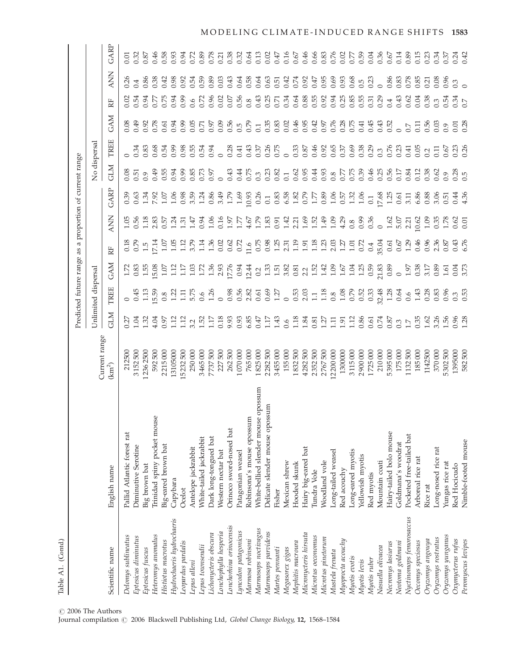|                           |                                     |               |                                                                              | Predicted future range as a proportion of current range |            |                                     |                                 |                                      |                                      |                                                                                                                                                                                                                                |                             |                  |                      |                      |
|---------------------------|-------------------------------------|---------------|------------------------------------------------------------------------------|---------------------------------------------------------|------------|-------------------------------------|---------------------------------|--------------------------------------|--------------------------------------|--------------------------------------------------------------------------------------------------------------------------------------------------------------------------------------------------------------------------------|-----------------------------|------------------|----------------------|----------------------|
|                           |                                     | Current range |                                                                              | Unlimited dispersal                                     |            |                                     |                                 |                                      |                                      | No dispersal                                                                                                                                                                                                                   |                             |                  |                      |                      |
| Scientific name           | English name                        | $(km^2)$      | <b>GLM</b>                                                                   | <b>TREE</b>                                             | <b>GAM</b> | RF                                  | <b>NNV</b>                      | GARP                                 | <b>GLM</b>                           | <b>TREE</b>                                                                                                                                                                                                                    | <b>GAM</b>                  | RF               | <b>ANN</b>           | GARP                 |
| Delomys sublineatus       | Pallid Atlantic forest rat          | 212500        |                                                                              |                                                         |            |                                     |                                 | 0.39                                 |                                      |                                                                                                                                                                                                                                | 0.08                        | 0.02             | 0.26                 | 0.01                 |
| Eptesicus diminutus       | Diminutive Serotine                 | 3152500       |                                                                              | 0.45                                                    |            | 0.75                                | $1.05$<br>0.56                  | 0.63                                 | 0.51                                 | 0.34                                                                                                                                                                                                                           | 0.49                        | $0.\overline{5}$ | 0.4                  | 0.32                 |
| Eptesicus fuscus          | Big brown bat                       | 2362500       |                                                                              |                                                         |            |                                     |                                 |                                      | 0.9                                  |                                                                                                                                                                                                                                |                             | 0.94             | 0.86                 | 0.87                 |
| Heteromys anomalus        | Trinidad spiny pocket mouse         | 592500        |                                                                              |                                                         |            |                                     |                                 |                                      | 0.49                                 |                                                                                                                                                                                                                                |                             |                  | 0.38                 |                      |
| Histiotus macrotus        | Big-eared brown bat                 | 2215000       |                                                                              |                                                         |            |                                     |                                 |                                      |                                      |                                                                                                                                                                                                                                |                             | 0.75             | 7.42                 |                      |
| Hydrochaeris hydrochaeris | Capybara                            | 13105000      |                                                                              |                                                         |            | $1.5$<br>$7.14$<br>$1.05$<br>$1.05$ | $\frac{18}{28}$<br>0.57<br>1.24 | $1.34$<br>$7.92$<br>$1.06$<br>$1.08$ | $0.55$<br>$0.94$                     | 88<br>0.65<br>0.99                                                                                                                                                                                                             | 0.52<br>0.53<br>0.94        | 0.94             | 0.98                 | $0.58$<br>0.58       |
| Leopardus pardalis        | Ocelot                              | 5232500       |                                                                              |                                                         |            | 1.12                                | 1.31                            |                                      | 0.99                                 |                                                                                                                                                                                                                                | 0.99                        | 0.99             | 0.92                 |                      |
| Lepus alleni              | Antelope jackrabbit                 | 250000        |                                                                              |                                                         |            |                                     |                                 |                                      |                                      |                                                                                                                                                                                                                                |                             | 0.6              |                      |                      |
| Lepus townsendii          | White-tailed jackrabbit             | 3465000       |                                                                              |                                                         |            | $3.79$<br>$1.36$                    |                                 |                                      |                                      |                                                                                                                                                                                                                                | $0.05$<br>$0.71$<br>$0.97$  | 0.72             | $0.59$<br>$0.59$     |                      |
| Lichonycteris obscura     | Dark long-tongued bat               | 7737500       |                                                                              |                                                         |            |                                     |                                 |                                      | $0.85$<br>$0.73$                     |                                                                                                                                                                                                                                |                             | 0.96             |                      |                      |
| Lonchophylla hesperia     | Western nectar bat                  | 227500        |                                                                              |                                                         |            | 0.02                                |                                 |                                      | $\circ$                              |                                                                                                                                                                                                                                | 0.09                        | 0.02             | 0.03                 |                      |
| Lonchorhina orinocensis   | Orinoco sword-nosed bat             | 262500        |                                                                              |                                                         |            |                                     |                                 |                                      | 0.43                                 |                                                                                                                                                                                                                                |                             | 0.07             | 0.43                 |                      |
| Lyncodon patagonicus      | Patagonian weasel                   | 1070000       |                                                                              |                                                         |            |                                     |                                 |                                      |                                      | $0.553$ $0.53$ $0.53$ $0.53$ $0.53$ $0.53$ $0.53$ $0.53$ $0.53$ $0.53$ $0.53$ $0.53$ $0.53$ $0.53$ $0.53$ $0.53$ $0.53$ $0.53$ $0.53$ $0.53$ $0.53$ $0.53$ $0.53$ $0.53$ $0.53$ $0.53$ $0.53$ $0.53$ $0.53$ $0.53$ $0.53$ $0.$ | $0.56$<br>$0.59$<br>$0.1$   | 0.56             |                      |                      |
| Marmosa robinsoni         | Robinsona's mouse opossum           | 765000        |                                                                              |                                                         |            |                                     |                                 |                                      |                                      |                                                                                                                                                                                                                                |                             | 0.8              |                      |                      |
| Marmosops noctivagus      | White-bellied slender mouse opossum | 1825000       |                                                                              |                                                         |            |                                     |                                 |                                      | 0.44<br>0.5<br>0.3                   |                                                                                                                                                                                                                                |                             | 0.43             | $0.54$<br>0.58       |                      |
| Marmosops parvidens       | Delicate slender mouse opossum      | 2282500       | 1.17                                                                         |                                                         |            |                                     |                                 |                                      |                                      |                                                                                                                                                                                                                                | $0.35$<br>$0.83$<br>$0.46$  | 0.25             | 0.63                 | 0.02                 |
| Martes pennanti           | Fisher                              | 3455000       |                                                                              |                                                         |            |                                     |                                 |                                      |                                      |                                                                                                                                                                                                                                |                             | 0.71             | 0.51                 |                      |
| Megasorex gigas           | Mexican shrew                       | 155000        |                                                                              |                                                         |            |                                     |                                 |                                      |                                      |                                                                                                                                                                                                                                |                             | 0.34             | $0.42$<br>$0.74$     |                      |
| Mephitis macroura         | Hooded skunk                        | 1832500       |                                                                              |                                                         |            |                                     |                                 |                                      | $0.82$<br>$0.62$<br>$0.63$<br>$0.65$ |                                                                                                                                                                                                                                |                             | 0.64             |                      |                      |
| Micronycteris hirsuta     | Hairy big-eared bat                 | 4282500       |                                                                              |                                                         |            |                                     |                                 |                                      |                                      |                                                                                                                                                                                                                                | 0.95                        | 0.88             | 0.92                 |                      |
| Microtus oeconomus        | Tundra Vole                         | 2352500       |                                                                              |                                                         |            |                                     |                                 |                                      | $3.88$<br>$0.0000000000000$          |                                                                                                                                                                                                                                |                             | 0.55             |                      |                      |
| Microtus pinetorum        | Woodland vole                       | 2767500       |                                                                              |                                                         |            |                                     |                                 |                                      |                                      |                                                                                                                                                                                                                                | 0.42<br>0.57<br>0.76        | 0.92             | 69<br>98<br>14<br>19 |                      |
| Mustela frenata           | Long-tailed weasel                  | 12200000      |                                                                              |                                                         |            |                                     |                                 |                                      |                                      |                                                                                                                                                                                                                                |                             | 0.94             |                      |                      |
| Myoprocta acouchy         | Red acouchy                         | 1300000       |                                                                              |                                                         |            |                                     |                                 |                                      |                                      |                                                                                                                                                                                                                                |                             | 0.25             | 0.93                 |                      |
| Myotis evotis             | Long-eared myotis                   | 3115000       |                                                                              |                                                         |            |                                     |                                 |                                      |                                      |                                                                                                                                                                                                                                | $0.28$<br>$0.75$            | 0.85             | 0.68                 |                      |
| Myotis levis              | Yellowish myotis                    | 2900000       |                                                                              |                                                         |            |                                     |                                 |                                      |                                      |                                                                                                                                                                                                                                |                             | 0.55             |                      |                      |
| Myotis ruber              | Red myotis                          | 1725000       |                                                                              |                                                         |            |                                     |                                 |                                      |                                      |                                                                                                                                                                                                                                |                             | 0.31             | $0.5$<br>$0.23$      |                      |
| Nasuella olivacea         | Mountain coati                      | 210000        |                                                                              |                                                         |            |                                     |                                 |                                      |                                      |                                                                                                                                                                                                                                |                             | 0.29             |                      |                      |
| Necromys lasiurus         | Hairy-tailed bolo mouse             | 5395000       |                                                                              |                                                         |            | $0.61$<br>$0.67$                    |                                 |                                      | 0.56                                 |                                                                                                                                                                                                                                | 0.45<br>0.45<br>0.52<br>0.5 | 0.4              | 0.86                 | 0.67<br>0.14<br>0.15 |
| Neotoma goldmani          | Goldmana's woodrat                  | 175000        |                                                                              |                                                         |            |                                     |                                 |                                      | $0.17$<br>$0.84$<br>$0.12$           |                                                                                                                                                                                                                                |                             | 0.43             | 83<br>0.78<br>0.85   |                      |
| Nyctinomops femorosaccus  | Pocketed free-tailed bat            | 1132500       |                                                                              |                                                         |            | $1.29$<br>0.46                      |                                 |                                      |                                      |                                                                                                                                                                                                                                | 0.7                         | 0.62             |                      |                      |
| Oecomys speciosus         | Arboreal rice rat                   | 185000        |                                                                              |                                                         |            |                                     |                                 |                                      |                                      |                                                                                                                                                                                                                                | 0.11                        | 0.04             |                      |                      |
| Dryzomys angouya          | Rice rat                            | 1142500       |                                                                              |                                                         |            | 0.96                                |                                 |                                      | 0.38                                 |                                                                                                                                                                                                                                | 0.56                        | 0.38             | 0.21                 | 0.23                 |
| Oryzomys rostratus        | Long-nosed rice rat                 | 370000        |                                                                              |                                                         |            | $2.36$<br>0.87                      |                                 | $0.88$<br>$0.51$                     | 0.62                                 |                                                                                                                                                                                                                                | 0.03                        | $0.\overline{3}$ | 0.08                 | 0.37                 |
| Oryzomys yunganus         | Yungas rice rat                     | 5302500       |                                                                              |                                                         |            |                                     |                                 |                                      | 0.9                                  |                                                                                                                                                                                                                                | 0.9                         | 0.54             | 0.96                 |                      |
| Oxymycterus rufus         | Red Hocicudo                        | 1395000       | $0.87$<br>$0.75$<br>$0.75$<br>$0.35$<br>$0.56$<br>$0.56$<br>$0.75$<br>$0.28$ |                                                         |            | 0.43<br>6.76                        |                                 | 0.44<br>4.36                         | 0.28                                 |                                                                                                                                                                                                                                | $0.01$<br>$0.28$            | 0.34             |                      | 0.42<br>0.42         |
| Peromyscus levipes        | Nimble-footed mouse                 | 582500        |                                                                              |                                                         |            |                                     |                                 |                                      |                                      |                                                                                                                                                                                                                                |                             |                  |                      |                      |

 $\odot$  2006 The Authors

Table A1. (Contd.)

Table A1. (Contd.)

Journal compilation  $\odot$  2006 Blackwell Publishing Ltd, Global Change Biology, 12, 1568–1584

MODELING CLIMATE-INDUCED RANGE SHIFTS 1583